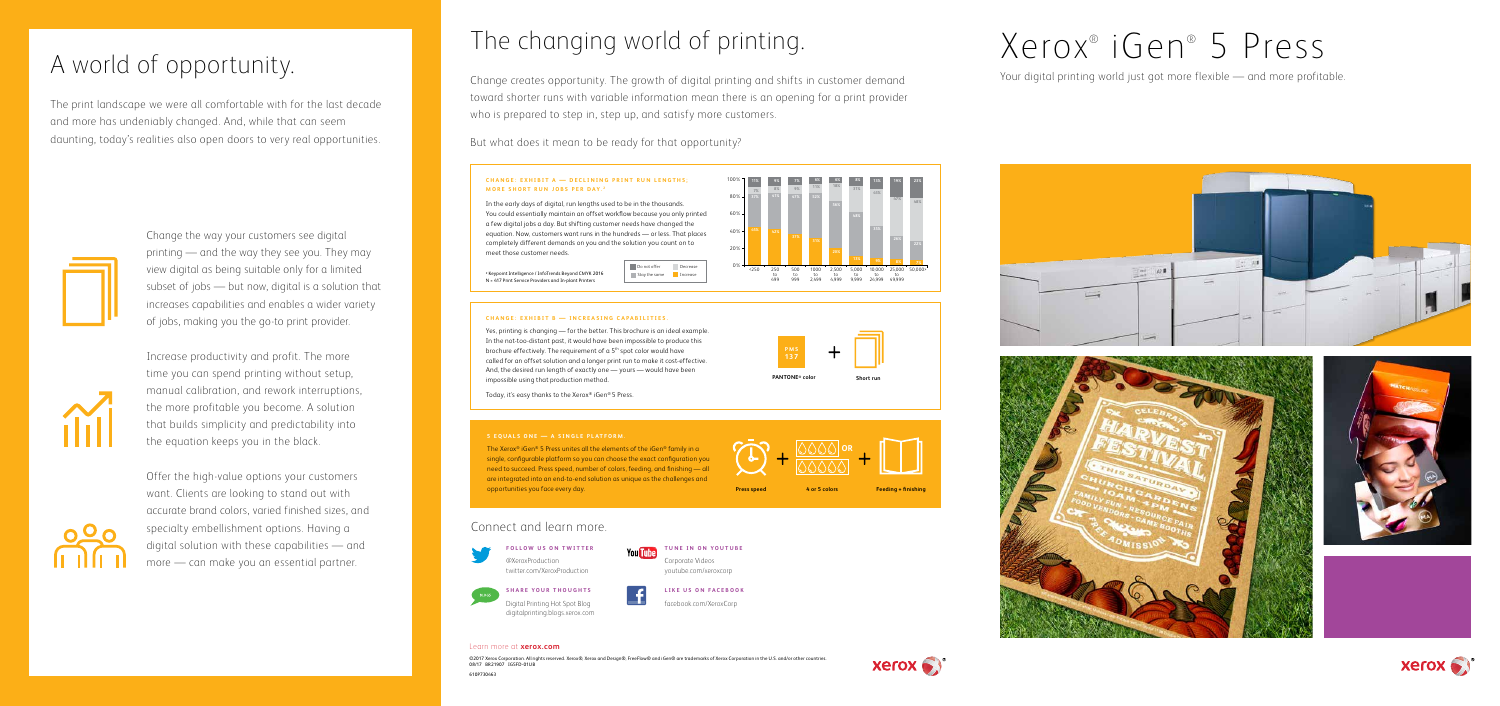The print landscape we were all comfortable with for the last decade and more has undeniably changed. And, while that can seem daunting, today's realities also open doors to very real opportunities.



**FOLLOW US ON TWITTER** @XeroxProduction twitter.com/XeroxProduction



# **SHARE YOUR THOUGHTS**

Digital Printing Hot Spot Blog digitalprinting.blogs.xerox.com **TUNE IN ON YOUTUBE** Corporate Videos youtube.com/xeroxcorp

**LIKE US ON FACEBOOK** facebook.com/XeroxCorp

## Connect and learn more.



The changing world of printing.

Change creates opportunity. The growth of digital printing and shifts in customer demand toward shorter runs with variable information mean there is an opening for a print provider who is prepared to step in, step up, and satisfy more customers.

The Xerox® iGen® 5 Press unites all the elements of the iGen® family in a single, configurable platform so you can choose the exact configuration you need to succeed. Press speed, number of colors, feeding, and finishing — all are integrated into an end-to-end solution as unique as the challenges and opportunities you face every day. **4 or 5 colors Feeding + finishing**

But what does it mean to be ready for that opportunity?

#### **CHANGE: EXHIBIT A - DECLINING PRINT RUN LENGTHS; MORE SHORT RUN JOBS PER DAY.**<sup>2</sup>

#### Learn more at **xerox.com**

©2017 Xerox Corporation. All rights reserved. Xerox®, Xerox and Design®, FreeFlow® and iGen® are trademarks of Xerox Corporation in the U.S. and/or other countries. 08/17 BR21907 IG5FD-01UB 610P730463

#### **5 EQUALS ONE — A SINGLE PLATFORM.**

# **Press speed**

A world of opportunity.<br>A world of opportunity.















### **CHANGE: EXHIBIT B — INCREASING CAPABILITIES.**

Yes, printing is changing — for the better. This brochure is an ideal example. In the not-too-distant past, it would have been impossible to produce this brochure effectively. The requirement of a 5<sup>th</sup> spot color would have called for an offset solution and a longer print run to make it cost-effective. And, the desired run length of exactly one — yours — would have been impossible using that production method.

Today, it's easy thanks to the Xerox® iGen® 5 Press.



In the early days of digital, run lengths used to be in the thousands. You could essentially maintain an offset workflow because you only printed a few digital jobs a day. But shifting customer needs have changed the equation. Now, customers want runs in the hundreds — or less. That places completely different demands on you and the solution you count on to meet those customer needs.

80% 60%

Change the way your customers see digital printing — and the way they see you. They may view digital as being suitable only for a limited subset of jobs — but now, digital is a solution that increases capabilities and enables a wider variety of jobs, making you the go-to print provider.



Increase productivity and profit. The more time you can spend printing without setup, manual calibration, and rework interruptions, the more profitable you become. A solution that builds simplicity and predictability into the equation keeps you in the black.

Offer the high-value options your customers want. Clients are looking to stand out with accurate brand colors, varied finished sizes, and specialty embellishment options. Having a digital solution with these capabilities — and more — can make you an essential partner.

2 Keypoint Intelligence / InfoTrends Beyond CMYK 2016 N = 417 Print Service Providers and In-plant Printers

**Increase** Stay the same **Increase** Do not offer Decrease